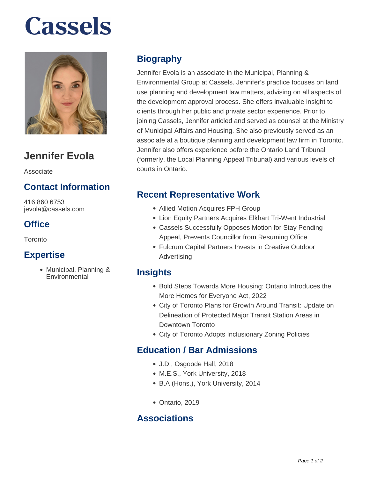# **Cassels**



### **Jennifer Evola**

Associate

#### **Contact Information**

416 860 6753 jevola@cassels.com

#### **Office**

Toronto

#### **Expertise**

Municipal, Planning & **Environmental** 

#### **Biography**

Jennifer Evola is an associate in the Municipal, Planning & Environmental Group at Cassels. Jennifer's practice focuses on land use planning and development law matters, advising on all aspects of the development approval process. She offers invaluable insight to clients through her public and private sector experience. Prior to joining Cassels, Jennifer articled and served as counsel at the Ministry of Municipal Affairs and Housing. She also previously served as an associate at a boutique planning and development law firm in Toronto. Jennifer also offers experience before the Ontario Land Tribunal (formerly, the Local Planning Appeal Tribunal) and various levels of courts in Ontario.

#### **Recent Representative Work**

- Allied Motion Acquires FPH Group
- Lion Equity Partners Acquires Elkhart Tri-Went Industrial
- Cassels Successfully Opposes Motion for Stay Pending Appeal, Prevents Councillor from Resuming Office
- Fulcrum Capital Partners Invests in Creative Outdoor Advertising

#### **Insights**

- Bold Steps Towards More Housing: Ontario Introduces the More Homes for Everyone Act, 2022
- City of Toronto Plans for Growth Around Transit: Update on Delineation of Protected Major Transit Station Areas in Downtown Toronto
- City of Toronto Adopts Inclusionary Zoning Policies

#### **Education / Bar Admissions**

- J.D., Osgoode Hall, 2018
- M.E.S., York University, 2018
- B.A (Hons.), York University, 2014
- Ontario, 2019

#### **Associations**